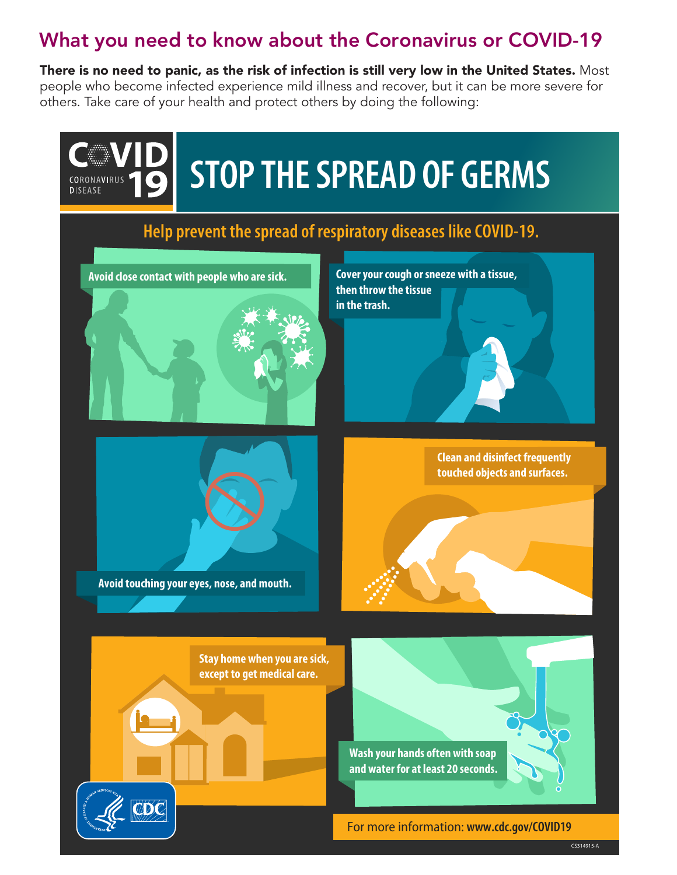## What you need to know about the Coronavirus or COVID-19

There is no need to panic, as the risk of infection is still very low in the United States. Most people who become infected experience mild illness and recover, but it can be more severe for others. Take care of your health and protect others by doing the following: